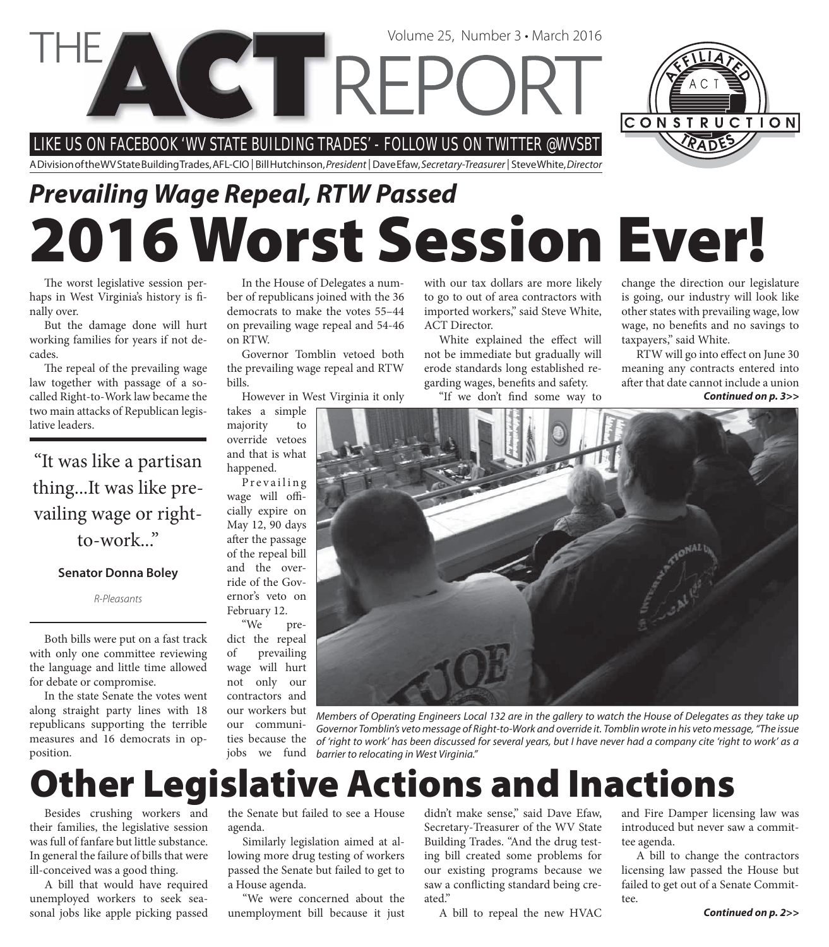LIKE US ON FACEBOOK 'WV STATE BUILDING TRADES' - FOLLOW US ON TWITTER @WVSBT

**COTREPC** 

A Division of the WV State Building Trades, AFL-CIO | Bill Hutchinson, President | Dave Efaw, Secretary-Treasurer | Steve White, Director

# **2016 Worst Session Ever!** *Prevailing Wage Repeal, RTW Passed*

The worst legislative session perhaps in West Virginia's history is finally over.

But the damage done will hurt working families for years if not decades.

The repeal of the prevailing wage law together with passage of a socalled Right-to-Work law became the two main attacks of Republican legislative leaders.

"It was like a partisan thing...It was like prevailing wage or rightto-work..."

#### **Senator Donna Boley**

R-Pleasants

Both bills were put on a fast track with only one committee reviewing the language and little time allowed for debate or compromise.

In the state Senate the votes went along straight party lines with 18 republicans supporting the terrible measures and 16 democrats in opposition.

In the House of Delegates a number of republicans joined with the 36 democrats to make the votes 55–44 on prevailing wage repeal and 54-46 on RTW.

Governor Tomblin vetoed both the prevailing wage repeal and RTW bills.

However in West Virginia it only

takes a simple majority to override vetoes and that is what happened.

Prevailing wage will officially expire on May 12, 90 days after the passage of the repeal bill and the override of the Governor's veto on February 12. "We pre-

dict the repeal of prevailing wage will hurt not only our contractors and our workers but our communities because the

with our tax dollars are more likely to go to out of area contractors with imported workers," said Steve White, ACT Director.

Volume 25, Number 3 • March 2016

White explained the effect will not be immediate but gradually will erode standards long established regarding wages, benefits and safety.

"If we don't find some way to

change the direction our legislature is going, our industry will look like other states with prevailing wage, low wage, no benefits and no savings to taxpayers," said White.

CONSTRUCTION

RTW will go into effect on June 30 meaning any contracts entered into after that date cannot include a union *Continued on p. 3>>*



Members of Operating Engineers Local 132 are in the gallery to watch the House of Delegates as they take up Governor Tomblin's veto message of Right-to-Work and override it. Tomblin wrote in his veto message, "The issue of 'right to work' has been discussed for several years, but I have never had a company cite 'right to work' as a barrier to relocating in West Virginia." jobs we fund

## **Other Legislative Actions and Inactions**

Besides crushing workers and their families, the legislative session was full of fanfare but little substance. In general the failure of bills that were ill-conceived was a good thing.

A bill that would have required unemployed workers to seek seasonal jobs like apple picking passed

the Senate but failed to see a House agenda.

Similarly legislation aimed at allowing more drug testing of workers passed the Senate but failed to get to a House agenda.

"We were concerned about the unemployment bill because it just

didn't make sense," said Dave Efaw, Secretary-Treasurer of the WV State Building Trades. "And the drug testing bill created some problems for our existing programs because we saw a conflicting standard being created."

A bill to repeal the new HVAC

and Fire Damper licensing law was introduced but never saw a committee agenda.

A bill to change the contractors licensing law passed the House but failed to get out of a Senate Committee.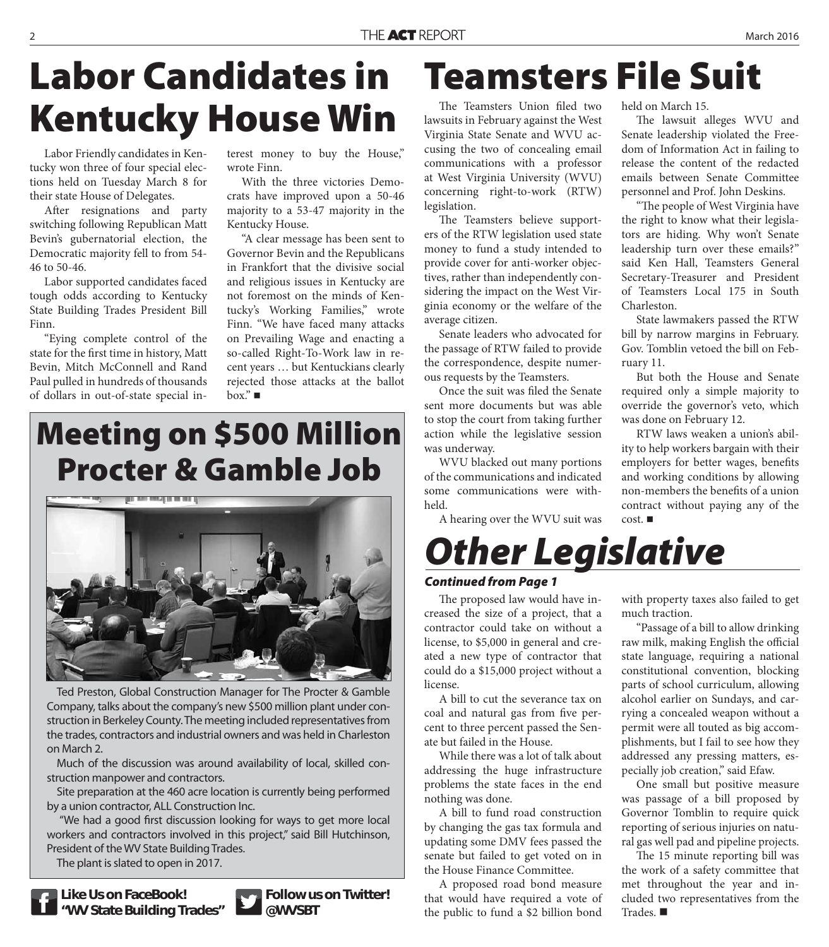## **Labor Candidates in Kentucky House Win**

Labor Friendly candidates in Kentucky won three of four special elections held on Tuesday March 8 for their state House of Delegates.

After resignations and party switching following Republican Matt Bevin's gubernatorial election, the Democratic majority fell to from 54- 46 to 50-46.

Labor supported candidates faced tough odds according to Kentucky State Building Trades President Bill Finn.

"Eying complete control of the state for the first time in history, Matt Bevin, Mitch McConnell and Rand Paul pulled in hundreds of thousands of dollars in out-of-state special interest money to buy the House," wrote Finn.

With the three victories Democrats have improved upon a 50-46 majority to a 53-47 majority in the Kentucky House.

"A clear message has been sent to Governor Bevin and the Republicans in Frankfort that the divisive social and religious issues in Kentucky are not foremost on the minds of Kentucky's Working Families," wrote Finn. "We have faced many attacks on Prevailing Wage and enacting a so-called Right-To-Work law in recent years … but Kentuckians clearly rejected those attacks at the ballot  $box." \blacksquare$ 

## **Meeting on \$500 Million Procter & Gamble Job**



Ted Preston, Global Construction Manager for The Procter & Gamble Company, talks about the company's new \$500 million plant under construction in Berkeley County. The meeting included representatives from the trades, contractors and industrial owners and was held in Charleston on March 2.

Much of the discussion was around availability of local, skilled construction manpower and contractors.

Site preparation at the 460 acre location is currently being performed by a union contractor, ALL Construction Inc.

"We had a good first discussion looking for ways to get more local workers and contractors involved in this project," said Bill Hutchinson, President of the WV State Building Trades.

The plant is slated to open in 2017.



**Like Us on FaceBook! "WV State Building Trades"**



**Follow us on Twitter! @WVSBT**

## **Teamsters File Suit**

The Teamsters Union filed two lawsuits in February against the West Virginia State Senate and WVU accusing the two of concealing email communications with a professor at West Virginia University (WVU) concerning right-to-work (RTW) legislation.

The Teamsters believe supporters of the RTW legislation used state money to fund a study intended to provide cover for anti-worker objectives, rather than independently considering the impact on the West Virginia economy or the welfare of the average citizen.

Senate leaders who advocated for the passage of RTW failed to provide the correspondence, despite numerous requests by the Teamsters.

Once the suit was filed the Senate sent more documents but was able to stop the court from taking further action while the legislative session was underway.

WVU blacked out many portions of the communications and indicated some communications were withheld.

A hearing over the WVU suit was

held on March 15.

The lawsuit alleges WVU and Senate leadership violated the Freedom of Information Act in failing to release the content of the redacted emails between Senate Committee personnel and Prof. John Deskins.

"The people of West Virginia have the right to know what their legislators are hiding. Why won't Senate leadership turn over these emails?" said Ken Hall, Teamsters General Secretary-Treasurer and President of Teamsters Local 175 in South Charleston.

State lawmakers passed the RTW bill by narrow margins in February. Gov. Tomblin vetoed the bill on February 11.

But both the House and Senate required only a simple majority to override the governor's veto, which was done on February 12.

RTW laws weaken a union's ability to help workers bargain with their employers for better wages, benefits and working conditions by allowing non-members the benefits of a union contract without paying any of the cost.

*Other Legislative*

### *Continued from Page 1*

The proposed law would have increased the size of a project, that a contractor could take on without a license, to \$5,000 in general and created a new type of contractor that could do a \$15,000 project without a license.

A bill to cut the severance tax on coal and natural gas from five percent to three percent passed the Senate but failed in the House.

While there was a lot of talk about addressing the huge infrastructure problems the state faces in the end nothing was done.

A bill to fund road construction by changing the gas tax formula and updating some DMV fees passed the senate but failed to get voted on in the House Finance Committee.

A proposed road bond measure that would have required a vote of the public to fund a \$2 billion bond

with property taxes also failed to get much traction.

"Passage of a bill to allow drinking raw milk, making English the official state language, requiring a national constitutional convention, blocking parts of school curriculum, allowing alcohol earlier on Sundays, and carrying a concealed weapon without a permit were all touted as big accomplishments, but I fail to see how they addressed any pressing matters, especially job creation," said Efaw.

One small but positive measure was passage of a bill proposed by Governor Tomblin to require quick reporting of serious injuries on natural gas well pad and pipeline projects.

The 15 minute reporting bill was the work of a safety committee that met throughout the year and included two representatives from the Trades.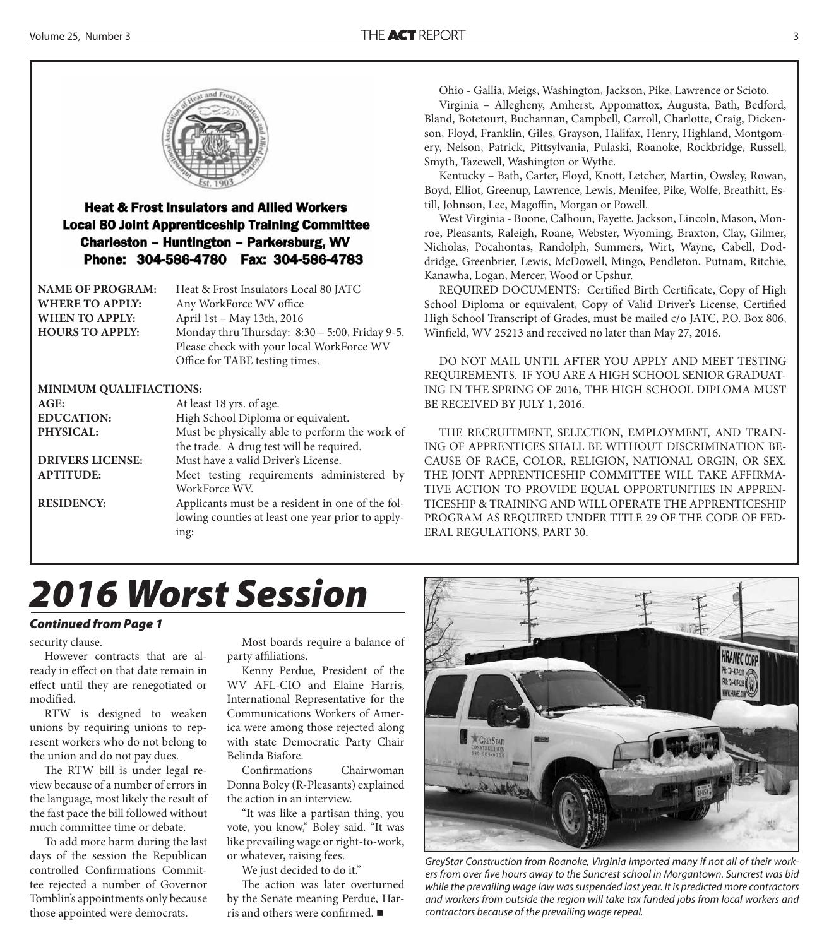

### **Heat & Frost Insulators and Allied Workers Local 80 Joint Apprenticeship Training Committee Charleston - Huntington - Parkersburg, WV** Phone: 304-586-4780 Fax: 304-586-4783

| <b>NAME OF PROGRAM:</b> | Heat & Frost Insulators Local 80 JATC          |
|-------------------------|------------------------------------------------|
| <b>WHERE TO APPLY:</b>  | Any WorkForce WV office                        |
| <b>WHEN TO APPLY:</b>   | April 1st - May 13th, 2016                     |
| <b>HOURS TO APPLY:</b>  | Monday thru Thursday: 8:30 - 5:00, Friday 9-5. |
|                         | Please check with your local WorkForce WV      |
|                         | Office for TABE testing times.                 |

#### **MINIMUM QUALIFIACTIONS:**

| AGE:                    | At least 18 yrs. of age.                          |
|-------------------------|---------------------------------------------------|
| <b>EDUCATION:</b>       | High School Diploma or equivalent.                |
| PHYSICAL:               | Must be physically able to perform the work of    |
|                         | the trade. A drug test will be required.          |
| <b>DRIVERS LICENSE:</b> | Must have a valid Driver's License.               |
| <b>APTITUDE:</b>        | Meet testing requirements administered by         |
|                         | WorkForce WV.                                     |
| <b>RESIDENCY:</b>       | Applicants must be a resident in one of the fol-  |
|                         | lowing counties at least one year prior to apply- |
|                         | ing:                                              |
|                         |                                                   |

Ohio - Gallia, Meigs, Washington, Jackson, Pike, Lawrence or Scioto.

Virginia – Allegheny, Amherst, Appomattox, Augusta, Bath, Bedford, Bland, Botetourt, Buchannan, Campbell, Carroll, Charlotte, Craig, Dickenson, Floyd, Franklin, Giles, Grayson, Halifax, Henry, Highland, Montgomery, Nelson, Patrick, Pittsylvania, Pulaski, Roanoke, Rockbridge, Russell, Smyth, Tazewell, Washington or Wythe.

Kentucky – Bath, Carter, Floyd, Knott, Letcher, Martin, Owsley, Rowan, Boyd, Elliot, Greenup, Lawrence, Lewis, Menifee, Pike, Wolfe, Breathitt, Estill, Johnson, Lee, Magoffin, Morgan or Powell.

West Virginia - Boone, Calhoun, Fayette, Jackson, Lincoln, Mason, Monroe, Pleasants, Raleigh, Roane, Webster, Wyoming, Braxton, Clay, Gilmer, Nicholas, Pocahontas, Randolph, Summers, Wirt, Wayne, Cabell, Doddridge, Greenbrier, Lewis, McDowell, Mingo, Pendleton, Putnam, Ritchie, Kanawha, Logan, Mercer, Wood or Upshur.

REQUIRED DOCUMENTS: Certified Birth Certificate, Copy of High School Diploma or equivalent, Copy of Valid Driver's License, Certified High School Transcript of Grades, must be mailed c/o JATC, P.O. Box 806, Winfield, WV 25213 and received no later than May 27, 2016.

DO NOT MAIL UNTIL AFTER YOU APPLY AND MEET TESTING REQUIREMENTS. IF YOU ARE A HIGH SCHOOL SENIOR GRADUAT-ING IN THE SPRING OF 2016, THE HIGH SCHOOL DIPLOMA MUST BE RECEIVED BY JULY 1, 2016.

THE RECRUITMENT, SELECTION, EMPLOYMENT, AND TRAIN-ING OF APPRENTICES SHALL BE WITHOUT DISCRIMINATION BE-CAUSE OF RACE, COLOR, RELIGION, NATIONAL ORGIN, OR SEX. THE JOINT APPRENTICESHIP COMMITTEE WILL TAKE AFFIRMA-TIVE ACTION TO PROVIDE EQUAL OPPORTUNITIES IN APPREN-TICESHIP & TRAINING AND WILL OPERATE THE APPRENTICESHIP PROGRAM AS REQUIRED UNDER TITLE 29 OF THE CODE OF FED-ERAL REGULATIONS, PART 30.

## *2016 Worst Session*

#### *Continued from Page 1*

security clause.

However contracts that are already in effect on that date remain in effect until they are renegotiated or modified.

RTW is designed to weaken unions by requiring unions to represent workers who do not belong to the union and do not pay dues.

The RTW bill is under legal review because of a number of errors in the language, most likely the result of the fast pace the bill followed without much committee time or debate.

To add more harm during the last days of the session the Republican controlled Confirmations Committee rejected a number of Governor Tomblin's appointments only because those appointed were democrats.

Most boards require a balance of party affiliations.

Kenny Perdue, President of the WV AFL-CIO and Elaine Harris, International Representative for the Communications Workers of America were among those rejected along with state Democratic Party Chair Belinda Biafore.

Confirmations Chairwoman Donna Boley (R-Pleasants) explained the action in an interview.

"It was like a partisan thing, you vote, you know," Boley said. "It was like prevailing wage or right-to-work, or whatever, raising fees.

We just decided to do it."

The action was later overturned by the Senate meaning Perdue, Harris and others were confirmed.  $\blacksquare$ 



GreyStar Construction from Roanoke, Virginia imported many if not all of their workers from over five hours away to the Suncrest school in Morgantown. Suncrest was bid while the prevailing wage law was suspended last year. It is predicted more contractors and workers from outside the region will take tax funded jobs from local workers and contractors because of the prevailing wage repeal.